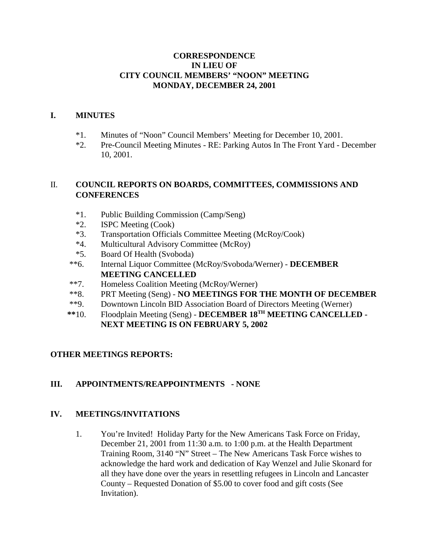### **CORRESPONDENCE IN LIEU OF CITY COUNCIL MEMBERS' "NOON" MEETING MONDAY, DECEMBER 24, 2001**

### **I. MINUTES**

- \*1. Minutes of "Noon" Council Members' Meeting for December 10, 2001.
- \*2. Pre-Council Meeting Minutes RE: Parking Autos In The Front Yard December 10, 2001.

### II. **COUNCIL REPORTS ON BOARDS, COMMITTEES, COMMISSIONS AND CONFERENCES**

- \*1. Public Building Commission (Camp/Seng)
- \*2. ISPC Meeting (Cook)
- \*3. Transportation Officials Committee Meeting (McRoy/Cook)
- \*4. Multicultural Advisory Committee (McRoy)
- \*5. Board Of Health (Svoboda)
- \*\*6. Internal Liquor Committee (McRoy/Svoboda/Werner) **DECEMBER MEETING CANCELLED**
- \*\*7. Homeless Coalition Meeting (McRoy/Werner)
- \*\*8. PRT Meeting (Seng) **NO MEETINGS FOR THE MONTH OF DECEMBER**
- \*\*9. Downtown Lincoln BID Association Board of Directors Meeting (Werner)
- **\*\***10. Floodplain Meeting (Seng) **DECEMBER 18TH MEETING CANCELLED - NEXT MEETING IS ON FEBRUARY 5, 2002**

# **OTHER MEETINGS REPORTS:**

# **III. APPOINTMENTS/REAPPOINTMENTS - NONE**

### **IV. MEETINGS/INVITATIONS**

1. You're Invited! Holiday Party for the New Americans Task Force on Friday, December 21, 2001 from 11:30 a.m. to 1:00 p.m. at the Health Department Training Room, 3140 "N" Street – The New Americans Task Force wishes to acknowledge the hard work and dedication of Kay Wenzel and Julie Skonard for all they have done over the years in resettling refugees in Lincoln and Lancaster County – Requested Donation of \$5.00 to cover food and gift costs (See Invitation).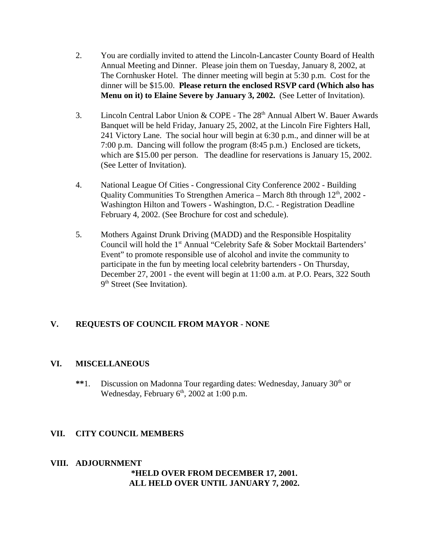- 2. You are cordially invited to attend the Lincoln-Lancaster County Board of Health Annual Meeting and Dinner. Please join them on Tuesday, January 8, 2002, at The Cornhusker Hotel. The dinner meeting will begin at 5:30 p.m. Cost for the dinner will be \$15.00. **Please return the enclosed RSVP card (Which also has Menu on it) to Elaine Severe by January 3, 2002.** (See Letter of Invitation).
- 3. Lincoln Central Labor Union & COPE The 28<sup>th</sup> Annual Albert W. Bauer Awards Banquet will be held Friday, January 25, 2002, at the Lincoln Fire Fighters Hall, 241 Victory Lane. The social hour will begin at 6:30 p.m., and dinner will be at 7:00 p.m. Dancing will follow the program (8:45 p.m.) Enclosed are tickets, which are \$15.00 per person. The deadline for reservations is January 15, 2002. (See Letter of Invitation).
- 4. National League Of Cities Congressional City Conference 2002 Building Quality Communities To Strengthen America – March 8th through  $12<sup>th</sup>$ , 2002 -Washington Hilton and Towers - Washington, D.C. - Registration Deadline February 4, 2002. (See Brochure for cost and schedule).
- 5. Mothers Against Drunk Driving (MADD) and the Responsible Hospitality Council will hold the 1<sup>st</sup> Annual "Celebrity Safe & Sober Mocktail Bartenders' Event" to promote responsible use of alcohol and invite the community to participate in the fun by meeting local celebrity bartenders - On Thursday, December 27, 2001 - the event will begin at 11:00 a.m. at P.O. Pears, 322 South 9<sup>th</sup> Street (See Invitation).

# **V. REQUESTS OF COUNCIL FROM MAYOR** - **NONE**

### **VI. MISCELLANEOUS**

\*\*1. Discussion on Madonna Tour regarding dates: Wednesday, January 30<sup>th</sup> or Wednesday, February  $6<sup>th</sup>$ , 2002 at 1:00 p.m.

### **VII. CITY COUNCIL MEMBERS**

#### **VIII. ADJOURNMENT \*HELD OVER FROM DECEMBER 17, 2001. ALL HELD OVER UNTIL JANUARY 7, 2002.**